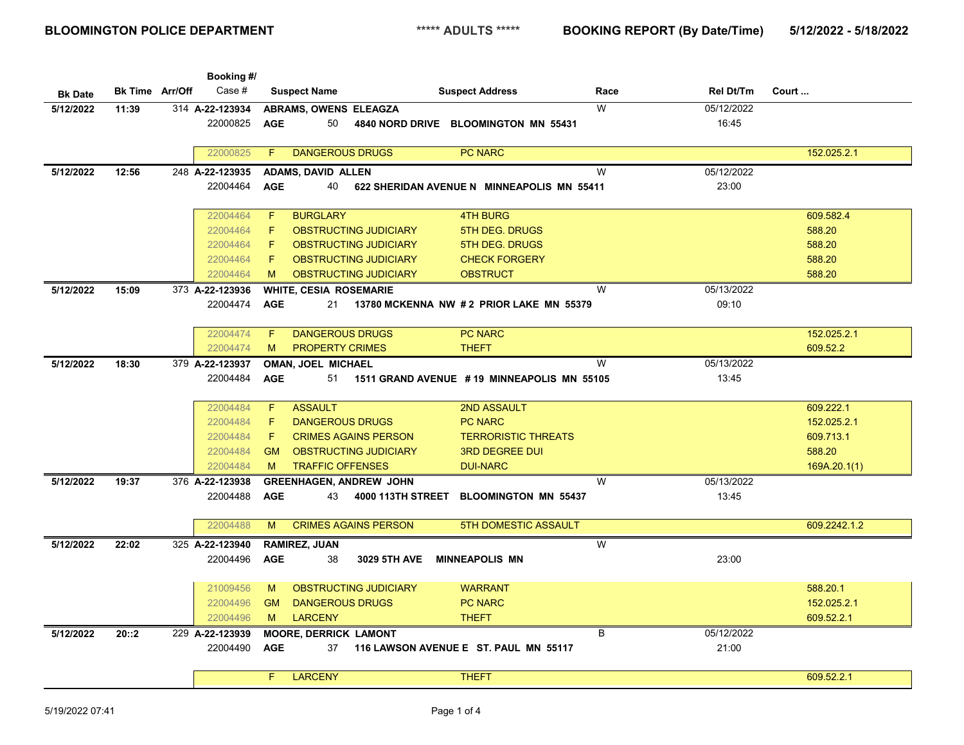|                |                        | Booking #/      |                                              |                                            |                         |            |              |
|----------------|------------------------|-----------------|----------------------------------------------|--------------------------------------------|-------------------------|------------|--------------|
| <b>Bk Date</b> | <b>Bk Time Arr/Off</b> | Case #          | <b>Suspect Name</b>                          | <b>Suspect Address</b>                     | Race                    | Rel Dt/Tm  | Court        |
| 5/12/2022      | 11:39                  | 314 A-22-123934 | ABRAMS, OWENS ELEAGZA                        |                                            | W                       | 05/12/2022 |              |
|                |                        | 22000825        | <b>AGE</b><br>50                             | 4840 NORD DRIVE BLOOMINGTON MN 55431       |                         | 16:45      |              |
|                |                        |                 |                                              |                                            |                         |            |              |
|                |                        | 22000825        | <b>DANGEROUS DRUGS</b><br>F                  | <b>PC NARC</b>                             |                         |            | 152.025.2.1  |
| 5/12/2022      | 12:56                  | 248 A-22-123935 | <b>ADAMS, DAVID ALLEN</b>                    |                                            | W                       | 05/12/2022 |              |
|                |                        | 22004464        | <b>AGE</b><br>40                             | 622 SHERIDAN AVENUE N MINNEAPOLIS MN 55411 |                         | 23:00      |              |
|                |                        |                 |                                              |                                            |                         |            |              |
|                |                        | 22004464        | F<br><b>BURGLARY</b>                         | <b>4TH BURG</b>                            |                         |            | 609.582.4    |
|                |                        | 22004464        | F<br><b>OBSTRUCTING JUDICIARY</b>            | 5TH DEG. DRUGS                             |                         |            | 588.20       |
|                |                        | 22004464        | F<br><b>OBSTRUCTING JUDICIARY</b>            | 5TH DEG. DRUGS                             |                         |            | 588.20       |
|                |                        | 22004464        | F<br><b>OBSTRUCTING JUDICIARY</b>            | <b>CHECK FORGERY</b>                       |                         |            | 588.20       |
|                |                        | 22004464        | <b>OBSTRUCTING JUDICIARY</b><br>M            | <b>OBSTRUCT</b>                            |                         |            | 588.20       |
| 5/12/2022      | 15:09                  | 373 A-22-123936 | <b>WHITE, CESIA ROSEMARIE</b>                |                                            | W                       | 05/13/2022 |              |
|                |                        | 22004474        | <b>AGE</b><br>21                             | 13780 MCKENNA NW #2 PRIOR LAKE MN 55379    |                         | 09:10      |              |
|                |                        |                 |                                              |                                            |                         |            |              |
|                |                        | 22004474        | <b>DANGEROUS DRUGS</b><br>F                  | <b>PC NARC</b>                             |                         |            | 152.025.2.1  |
|                |                        | 22004474        | M<br><b>PROPERTY CRIMES</b>                  | <b>THEFT</b>                               |                         |            | 609.52.2     |
| 5/12/2022      | 18:30                  | 379 A-22-123937 | OMAN, JOEL MICHAEL                           |                                            | W                       | 05/13/2022 |              |
|                |                        | 22004484        | <b>AGE</b><br>51                             | 1511 GRAND AVENUE #19 MINNEAPOLIS MN 55105 |                         | 13:45      |              |
|                |                        |                 |                                              |                                            |                         |            |              |
|                |                        | 22004484        | F<br><b>ASSAULT</b>                          | <b>2ND ASSAULT</b>                         |                         |            | 609.222.1    |
|                |                        | 22004484        | F<br><b>DANGEROUS DRUGS</b>                  | <b>PC NARC</b>                             |                         |            | 152.025.2.1  |
|                |                        | 22004484        | F<br><b>CRIMES AGAINS PERSON</b>             | <b>TERRORISTIC THREATS</b>                 |                         |            | 609.713.1    |
|                |                        | 22004484        | OBSTRUCTING JUDICIARY<br><b>GM</b>           | <b>3RD DEGREE DUI</b>                      |                         |            | 588.20       |
|                |                        | 22004484        | <b>TRAFFIC OFFENSES</b><br>M                 | <b>DUI-NARC</b>                            |                         |            | 169A.20.1(1) |
| 5/12/2022      | 19:37                  | 376 A-22-123938 | <b>GREENHAGEN, ANDREW JOHN</b>               |                                            | W                       | 05/13/2022 |              |
|                |                        | 22004488        | <b>AGE</b><br>43<br><b>4000 113TH STREET</b> | <b>BLOOMINGTON MN 55437</b>                |                         | 13:45      |              |
|                |                        |                 |                                              |                                            |                         |            |              |
|                |                        | 22004488        | <b>CRIMES AGAINS PERSON</b><br>M             | <b>5TH DOMESTIC ASSAULT</b>                |                         |            | 609.2242.1.2 |
| 5/12/2022      | 22:02                  | 325 A-22-123940 | <b>RAMIREZ, JUAN</b>                         |                                            | $\overline{\mathsf{W}}$ |            |              |
|                |                        | 22004496        | <b>AGE</b><br>38<br>3029 5TH AVE             | <b>MINNEAPOLIS MN</b>                      |                         | 23:00      |              |
|                |                        |                 |                                              |                                            |                         |            |              |
|                |                        | 21009456        | <b>OBSTRUCTING JUDICIARY</b><br>M            | <b>WARRANT</b>                             |                         |            | 588.20.1     |
|                |                        | 22004496        | <b>DANGEROUS DRUGS</b><br><b>GM</b>          | <b>PC NARC</b>                             |                         |            | 152.025.2.1  |
|                |                        | 22004496        | <b>LARCENY</b><br>M                          | <b>THEFT</b>                               |                         |            | 609.52.2.1   |
| 5/12/2022      | 20::2                  | 229 A-22-123939 | <b>MOORE, DERRICK LAMONT</b>                 |                                            | B                       | 05/12/2022 |              |
|                |                        | 22004490        | <b>AGE</b><br>37                             | 116 LAWSON AVENUE E ST. PAUL MN 55117      |                         | 21:00      |              |
|                |                        |                 |                                              |                                            |                         |            |              |
|                |                        |                 | <b>LARCENY</b><br>F.                         | <b>THEFT</b>                               |                         |            | 609.52.2.1   |
|                |                        |                 |                                              |                                            |                         |            |              |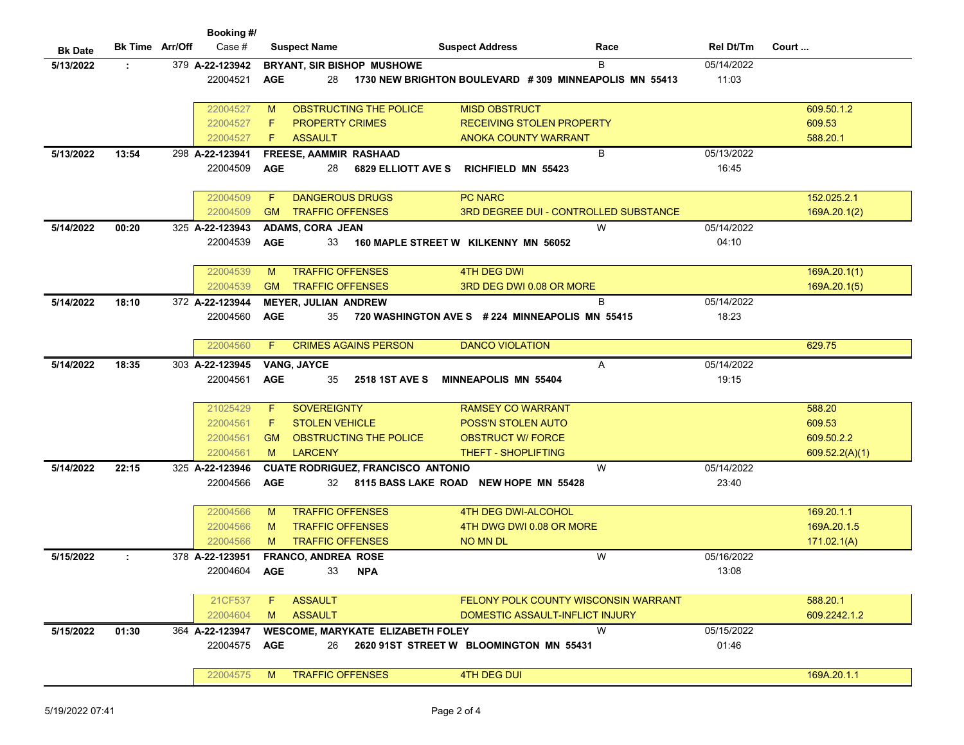|                |                        | Booking #/      |            |                             |                                           |                             |                                                       |            |                |
|----------------|------------------------|-----------------|------------|-----------------------------|-------------------------------------------|-----------------------------|-------------------------------------------------------|------------|----------------|
| <b>Bk Date</b> | <b>Bk Time Arr/Off</b> | Case #          |            | <b>Suspect Name</b>         |                                           | <b>Suspect Address</b>      | Race                                                  | Rel Dt/Tm  | Court          |
| 5/13/2022      | ÷.                     | 379 A-22-123942 |            |                             | <b>BRYANT, SIR BISHOP MUSHOWE</b>         |                             | B                                                     | 05/14/2022 |                |
|                |                        | 22004521        | <b>AGE</b> | 28                          |                                           |                             | 1730 NEW BRIGHTON BOULEVARD #309 MINNEAPOLIS MN 55413 | 11:03      |                |
|                |                        |                 |            |                             |                                           |                             |                                                       |            |                |
|                |                        | 22004527        | M          |                             | OBSTRUCTING THE POLICE                    | <b>MISD OBSTRUCT</b>        |                                                       |            | 609.50.1.2     |
|                |                        | 22004527        | F          | <b>PROPERTY CRIMES</b>      |                                           |                             | <b>RECEIVING STOLEN PROPERTY</b>                      |            | 609.53         |
|                |                        | 22004527        | F          | <b>ASSAULT</b>              |                                           | <b>ANOKA COUNTY WARRANT</b> |                                                       |            | 588.20.1       |
| 5/13/2022      | 13:54                  | 298 A-22-123941 |            | FREESE, AAMMIR RASHAAD      |                                           |                             | B                                                     | 05/13/2022 |                |
|                |                        | 22004509        | <b>AGE</b> | 28                          | <b>6829 ELLIOTT AVE S</b>                 | <b>RICHFIELD MN 55423</b>   |                                                       | 16:45      |                |
|                |                        |                 |            |                             |                                           |                             |                                                       |            |                |
|                |                        | 22004509        | F          | <b>DANGEROUS DRUGS</b>      |                                           | <b>PC NARC</b>              |                                                       |            | 152.025.2.1    |
|                |                        | 22004509        | <b>GM</b>  | <b>TRAFFIC OFFENSES</b>     |                                           |                             | <b>3RD DEGREE DUI - CONTROLLED SUBSTANCE</b>          |            | 169A.20.1(2)   |
| 5/14/2022      | 00:20                  | 325 A-22-123943 |            | <b>ADAMS, CORA JEAN</b>     |                                           |                             | W                                                     | 05/14/2022 |                |
|                |                        | 22004539        | <b>AGE</b> | 33                          | 160 MAPLE STREET W KILKENNY MN 56052      |                             |                                                       | 04:10      |                |
|                |                        |                 |            |                             |                                           |                             |                                                       |            |                |
|                |                        | 22004539        | M          | <b>TRAFFIC OFFENSES</b>     |                                           | <b>4TH DEG DWI</b>          |                                                       |            | 169A.20.1(1)   |
|                |                        | 22004539        | <b>GM</b>  | <b>TRAFFIC OFFENSES</b>     |                                           |                             | 3RD DEG DWI 0.08 OR MORE                              |            | 169A.20.1(5)   |
| 5/14/2022      | 18:10                  | 372 A-22-123944 |            | <b>MEYER, JULIAN ANDREW</b> |                                           |                             | B                                                     | 05/14/2022 |                |
|                |                        | 22004560        | <b>AGE</b> | 35                          |                                           |                             | 720 WASHINGTON AVE S # 224 MINNEAPOLIS MN 55415       | 18:23      |                |
|                |                        |                 |            |                             |                                           |                             |                                                       |            |                |
|                |                        | 22004560        | F          |                             | <b>CRIMES AGAINS PERSON</b>               | <b>DANCO VIOLATION</b>      |                                                       |            | 629.75         |
| 5/14/2022      | 18:35                  | 303 A-22-123945 |            | <b>VANG, JAYCE</b>          |                                           |                             | Α                                                     | 05/14/2022 |                |
|                |                        | 22004561        | <b>AGE</b> | 35                          | <b>2518 1ST AVE S</b>                     | <b>MINNEAPOLIS MN 55404</b> |                                                       | 19:15      |                |
|                |                        |                 |            |                             |                                           |                             |                                                       |            |                |
|                |                        | 21025429        | F          | <b>SOVEREIGNTY</b>          |                                           | <b>RAMSEY CO WARRANT</b>    |                                                       |            | 588.20         |
|                |                        | 22004561        | F          | <b>STOLEN VEHICLE</b>       |                                           | <b>POSS'N STOLEN AUTO</b>   |                                                       |            | 609.53         |
|                |                        | 22004561        | <b>GM</b>  |                             | OBSTRUCTING THE POLICE                    | <b>OBSTRUCT W/ FORCE</b>    |                                                       |            | 609.50.2.2     |
|                |                        | 22004561        | M          | <b>LARCENY</b>              |                                           | <b>THEFT - SHOPLIFTING</b>  |                                                       |            | 609.52.2(A)(1) |
| 5/14/2022      | 22:15                  | 325 A-22-123946 |            |                             | <b>CUATE RODRIGUEZ, FRANCISCO ANTONIO</b> |                             | W                                                     | 05/14/2022 |                |
|                |                        | 22004566        | <b>AGE</b> | 32                          | 8115 BASS LAKE ROAD NEW HOPE MN 55428     |                             |                                                       | 23:40      |                |
|                |                        |                 |            |                             |                                           |                             |                                                       |            |                |
|                |                        | 22004566        | M          | <b>TRAFFIC OFFENSES</b>     |                                           | <b>4TH DEG DWI-ALCOHOL</b>  |                                                       |            | 169.20.1.1     |
|                |                        | 22004566        | M          | <b>TRAFFIC OFFENSES</b>     |                                           |                             | 4TH DWG DWI 0.08 OR MORE                              |            | 169A.20.1.5    |
|                |                        | 22004566        | M          | <b>TRAFFIC OFFENSES</b>     |                                           | <b>NO MN DL</b>             |                                                       |            | 171.02.1(A)    |
| 5/15/2022      |                        | 378 A-22-123951 |            | FRANCO, ANDREA ROSE         |                                           |                             | W                                                     | 05/16/2022 |                |
|                |                        | 22004604        | <b>AGE</b> | 33                          | <b>NPA</b>                                |                             |                                                       | 13:08      |                |
|                |                        |                 |            |                             |                                           |                             |                                                       |            |                |
|                |                        | 21CF537         | F.         | <b>ASSAULT</b>              |                                           |                             | FELONY POLK COUNTY WISCONSIN WARRANT                  |            | 588.20.1       |
|                |                        | 22004604        | M          | <b>ASSAULT</b>              |                                           |                             | DOMESTIC ASSAULT-INFLICT INJURY                       |            | 609.2242.1.2   |
| 5/15/2022      | 01:30                  | 364 A-22-123947 |            |                             | <b>WESCOME, MARYKATE ELIZABETH FOLEY</b>  |                             | W                                                     | 05/15/2022 |                |
|                |                        | 22004575        | <b>AGE</b> | 26                          | 2620 91ST STREET W BLOOMINGTON MN 55431   |                             |                                                       | 01:46      |                |
|                |                        |                 |            |                             |                                           |                             |                                                       |            |                |
|                |                        | 22004575        |            | M TRAFFIC OFFENSES          |                                           | <b>4TH DEG DUI</b>          |                                                       |            | 169A.20.1.1    |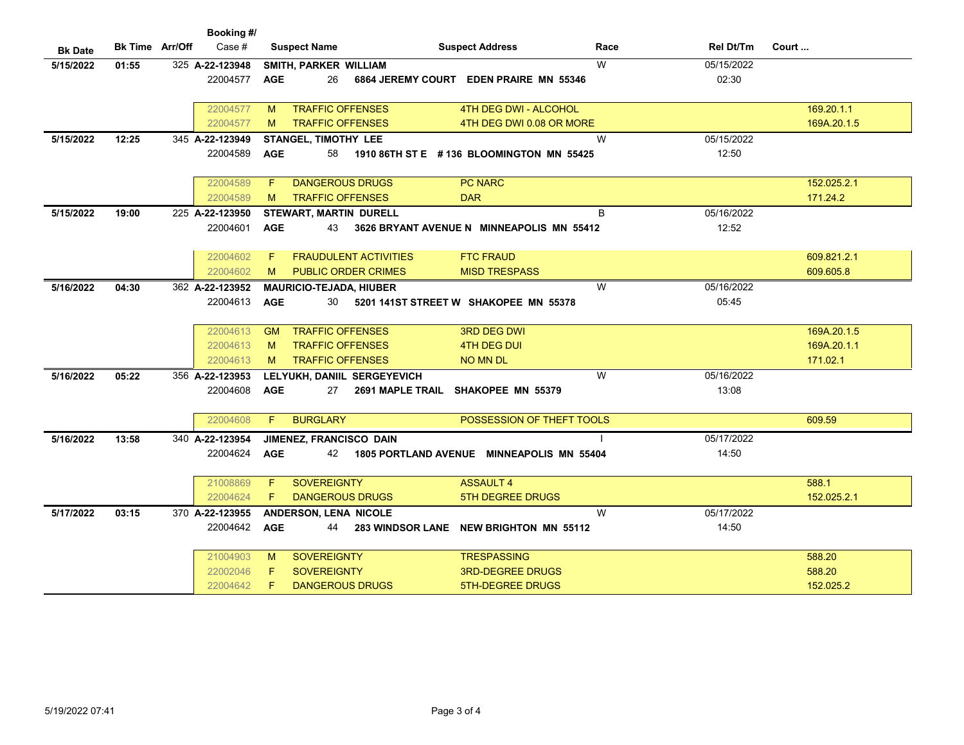| Booking #/     |                        |                 |                                      |                                           |                   |             |  |  |
|----------------|------------------------|-----------------|--------------------------------------|-------------------------------------------|-------------------|-------------|--|--|
| <b>Bk Date</b> | <b>Bk Time Arr/Off</b> | Case $#$        | <b>Suspect Name</b>                  | <b>Suspect Address</b>                    | Race<br>Rel Dt/Tm | Court       |  |  |
| 5/15/2022      | 01:55                  | 325 A-22-123948 | SMITH, PARKER WILLIAM                | W                                         | 05/15/2022        |             |  |  |
|                |                        | 22004577        | <b>AGE</b><br>26                     | 6864 JEREMY COURT EDEN PRAIRE MN 55346    | 02:30             |             |  |  |
|                |                        |                 |                                      |                                           |                   |             |  |  |
|                |                        | 22004577        | <b>TRAFFIC OFFENSES</b><br>M         | 4TH DEG DWI - ALCOHOL                     |                   | 169.20.1.1  |  |  |
|                |                        | 22004577        | <b>TRAFFIC OFFENSES</b><br>M         | 4TH DEG DWI 0.08 OR MORE                  |                   | 169A.20.1.5 |  |  |
| 5/15/2022      | 12:25                  | 345 A-22-123949 | <b>STANGEL, TIMOTHY LEE</b>          | W                                         | 05/15/2022        |             |  |  |
|                |                        | 22004589        | <b>AGE</b><br>58                     | 1910 86TH ST E #136 BLOOMINGTON MN 55425  | 12:50             |             |  |  |
|                |                        |                 |                                      |                                           |                   |             |  |  |
|                |                        | 22004589        | <b>DANGEROUS DRUGS</b><br>F          | <b>PC NARC</b>                            |                   | 152.025.2.1 |  |  |
|                |                        | 22004589        | <b>TRAFFIC OFFENSES</b><br>M         | <b>DAR</b>                                |                   | 171.24.2    |  |  |
| 5/15/2022      | 19:00                  | 225 A-22-123950 | <b>STEWART, MARTIN DURELL</b>        | B                                         | 05/16/2022        |             |  |  |
|                |                        | 22004601        | <b>AGE</b><br>43                     | 3626 BRYANT AVENUE N MINNEAPOLIS MN 55412 | 12:52             |             |  |  |
|                |                        |                 |                                      |                                           |                   |             |  |  |
|                |                        | 22004602        | <b>FRAUDULENT ACTIVITIES</b><br>F    | <b>FTC FRAUD</b>                          |                   | 609.821.2.1 |  |  |
|                |                        | 22004602        | <b>PUBLIC ORDER CRIMES</b><br>M      | <b>MISD TRESPASS</b>                      |                   | 609.605.8   |  |  |
| 5/16/2022      | 04:30                  | 362 A-22-123952 | <b>MAURICIO-TEJADA, HIUBER</b>       | W                                         | 05/16/2022        |             |  |  |
|                |                        | 22004613        | <b>AGE</b><br>30                     | 5201 141ST STREET W SHAKOPEE MN 55378     | 05:45             |             |  |  |
|                |                        |                 |                                      |                                           |                   |             |  |  |
|                |                        | 22004613        | <b>TRAFFIC OFFENSES</b><br><b>GM</b> | <b>3RD DEG DWI</b>                        |                   | 169A.20.1.5 |  |  |
|                |                        | 22004613        | <b>TRAFFIC OFFENSES</b><br>M         | 4TH DEG DUI                               |                   | 169A.20.1.1 |  |  |
|                |                        | 22004613        | <b>TRAFFIC OFFENSES</b><br>M         | <b>NO MN DL</b>                           |                   | 171.02.1    |  |  |
| 5/16/2022      | 05:22                  | 356 A-22-123953 | LELYUKH, DANIIL SERGEYEVICH          | W                                         | 05/16/2022        |             |  |  |
|                |                        | 22004608        | <b>AGE</b><br>27                     | 2691 MAPLE TRAIL SHAKOPEE MN 55379        | 13:08             |             |  |  |
|                |                        |                 |                                      |                                           |                   |             |  |  |
|                |                        | 22004608        | <b>BURGLARY</b><br>F                 | POSSESSION OF THEFT TOOLS                 |                   | 609.59      |  |  |
| 5/16/2022      | 13:58                  | 340 A-22-123954 | JIMENEZ, FRANCISCO DAIN              |                                           | 05/17/2022        |             |  |  |
|                |                        | 22004624        | <b>AGE</b><br>42                     | 1805 PORTLAND AVENUE MINNEAPOLIS MN 55404 | 14:50             |             |  |  |
|                |                        |                 |                                      |                                           |                   |             |  |  |
|                |                        | 21008869        | <b>SOVEREIGNTY</b><br>F              | <b>ASSAULT 4</b>                          |                   | 588.1       |  |  |
|                |                        | 22004624        | <b>DANGEROUS DRUGS</b><br>F.         | <b>5TH DEGREE DRUGS</b>                   |                   | 152.025.2.1 |  |  |
| 5/17/2022      | 03:15                  | 370 A-22-123955 | ANDERSON, LENA NICOLE                | W                                         | 05/17/2022        |             |  |  |
|                |                        | 22004642        | <b>AGE</b><br>44                     | 283 WINDSOR LANE NEW BRIGHTON MN 55112    | 14:50             |             |  |  |
|                |                        |                 |                                      |                                           |                   |             |  |  |
|                |                        | 21004903        | <b>SOVEREIGNTY</b><br>M              | <b>TRESPASSING</b>                        |                   | 588.20      |  |  |
|                |                        | 22002046        | <b>SOVEREIGNTY</b><br>F              | <b>3RD-DEGREE DRUGS</b>                   |                   | 588.20      |  |  |
|                |                        | 22004642        | F<br><b>DANGEROUS DRUGS</b>          | <b>5TH-DEGREE DRUGS</b>                   |                   | 152.025.2   |  |  |
|                |                        |                 |                                      |                                           |                   |             |  |  |